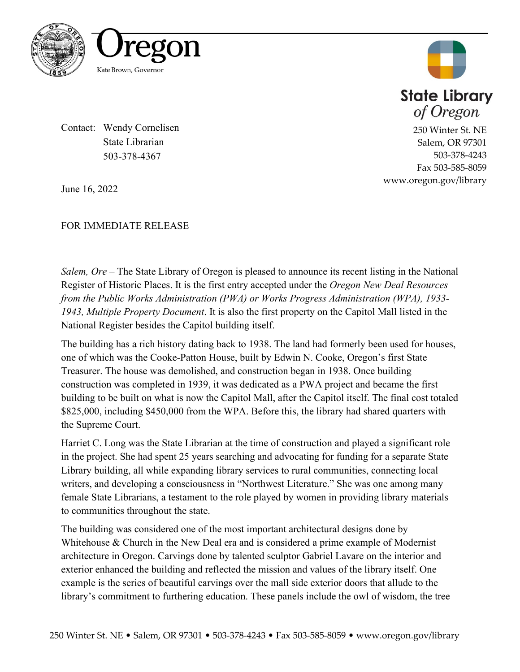



250 Winter St. NE Salem, OR 97301 503-378-4243 Fax 503-585-8059

www.oregon.gov/library

Contact: Wendy Cornelisen State Librarian 503-378-4367

June 16, 2022

FOR IMMEDIATE RELEASE

*Salem, Ore –* The State Library of Oregon is pleased to announce its recent listing in the National Register of Historic Places. It is the first entry accepted under the *Oregon New Deal Resources from the Public Works Administration (PWA) or Works Progress Administration (WPA), 1933- 1943, Multiple Property Document*. It is also the first property on the Capitol Mall listed in the National Register besides the Capitol building itself.

The building has a rich history dating back to 1938. The land had formerly been used for houses, one of which was the Cooke-Patton House, built by Edwin N. Cooke, Oregon's first State Treasurer. The house was demolished, and construction began in 1938. Once building construction was completed in 1939, it was dedicated as a PWA project and became the first building to be built on what is now the Capitol Mall, after the Capitol itself. The final cost totaled \$825,000, including \$450,000 from the WPA. Before this, the library had shared quarters with the Supreme Court.

Harriet C. Long was the State Librarian at the time of construction and played a significant role in the project. She had spent 25 years searching and advocating for funding for a separate State Library building, all while expanding library services to rural communities, connecting local writers, and developing a consciousness in "Northwest Literature." She was one among many female State Librarians, a testament to the role played by women in providing library materials to communities throughout the state.

The building was considered one of the most important architectural designs done by Whitehouse & Church in the New Deal era and is considered a prime example of Modernist architecture in Oregon. Carvings done by talented sculptor Gabriel Lavare on the interior and exterior enhanced the building and reflected the mission and values of the library itself. One example is the series of beautiful carvings over the mall side exterior doors that allude to the library's commitment to furthering education. These panels include the owl of wisdom, the tree